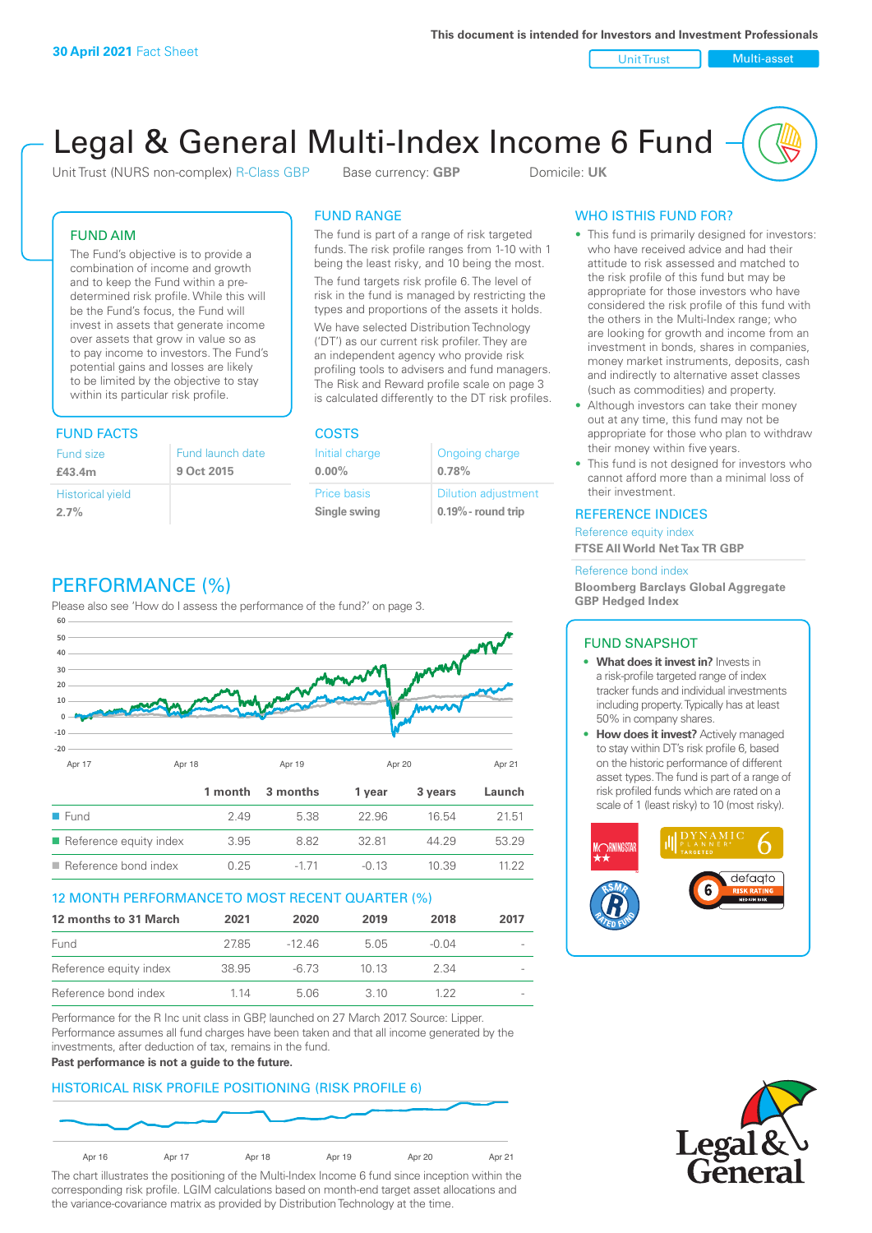Unit Trust Nulti-asset

# Legal & General Multi-Index Income 6 Fund

Unit Trust (NURS non-complex) R-Class GBP Base currency: **GBP** Domicile: UK

# FUND AIM

The Fund's objective is to provide a combination of income and growth and to keep the Fund within a predetermined risk profile. While this will be the Fund's focus, the Fund will invest in assets that generate income over assets that grow in value so as to pay income to investors. The Fund's potential gains and losses are likely to be limited by the objective to stay within its particular risk profile.

# FUND FACTS COSTS

| Fund size                       | Fund launch date |
|---------------------------------|------------------|
| £43.4m                          | 9 Oct 2015       |
| <b>Historical yield</b><br>2.7% |                  |

# FUND RANGE

The fund is part of a range of risk targeted funds. The risk profile ranges from 1-10 with 1 being the least risky, and 10 being the most.

The fund targets risk profile 6. The level of risk in the fund is managed by restricting the types and proportions of the assets it holds. We have selected Distribution Technology ('DT') as our current risk profiler. They are an independent agency who provide risk profiling tools to advisers and fund managers. The Risk and Reward profile scale on page 3 is calculated differently to the DT risk profiles.

**0.00%**

| Initial charge     | Ongoing charge             |
|--------------------|----------------------------|
| $0.00\%$           | 0.78%                      |
| <b>Price basis</b> | <b>Dilution adjustment</b> |
| Single swing       | $0.19\%$ - round trip      |

# WHO IS THIS FUND FOR?

- This fund is primarily designed for investors: who have received advice and had their attitude to risk assessed and matched to the risk profile of this fund but may be appropriate for those investors who have considered the risk profile of this fund with the others in the Multi-Index range; who are looking for growth and income from an investment in bonds, shares in companies, money market instruments, deposits, cash and indirectly to alternative asset classes (such as commodities) and property.
- Although investors can take their money out at any time, this fund may not be appropriate for those who plan to withdraw their money within five years.
- This fund is not designed for investors who cannot afford more than a minimal loss of their investment.

# REFERENCE INDICES

Reference equity index **FTSE All World Net Tax TR GBP**

#### Reference bond index

**Bloomberg Barclays Global Aggregate GBP Hedged Index**

# FUND SNAPSHOT

- **• What does it invest in?** Invests in a risk-profile targeted range of index tracker funds and individual investments including property. Typically has at least 50% in company shares.
- **• How does it invest?** Actively managed to stay within DT's risk profile 6, based on the historic performance of different asset types. The fund is part of a range of risk profiled funds which are rated on a scale of 1 (least risky) to 10 (most risky).





# PERFORMANCE (%)

Please also see 'How do I assess the performance of the fund?' on page 3.



# 12 MONTH PERFORMANCE TO MOST RECENT QUARTER (%)

| 12 months to 31 March  | 2021  | 2020  | 2019 | 2018    | 2017                     |
|------------------------|-------|-------|------|---------|--------------------------|
| Fund                   | 2785  | -1246 | 505  | $-0.04$ |                          |
| Reference equity index | 38.95 | -6.73 | 1013 | 2.34    | $\overline{\phantom{a}}$ |
| Reference bond index   | 1 14  | 5.06  | 3 10 | 1 22    |                          |

Performance for the R Inc unit class in GBP, launched on 27 March 2017. Source: Lipper. Performance assumes all fund charges have been taken and that all income generated by the investments, after deduction of tax, remains in the fund.

#### **Past performance is not a guide to the future.**

# HISTORICAL RISK PROFILE POSITIONING (RISK PROFILE 6)



The chart illustrates the positioning of the Multi-Index Income 6 fund since inception within the corresponding risk profile. LGIM calculations based on month-end target asset allocations and the variance-covariance matrix as provided by Distribution Technology at the time.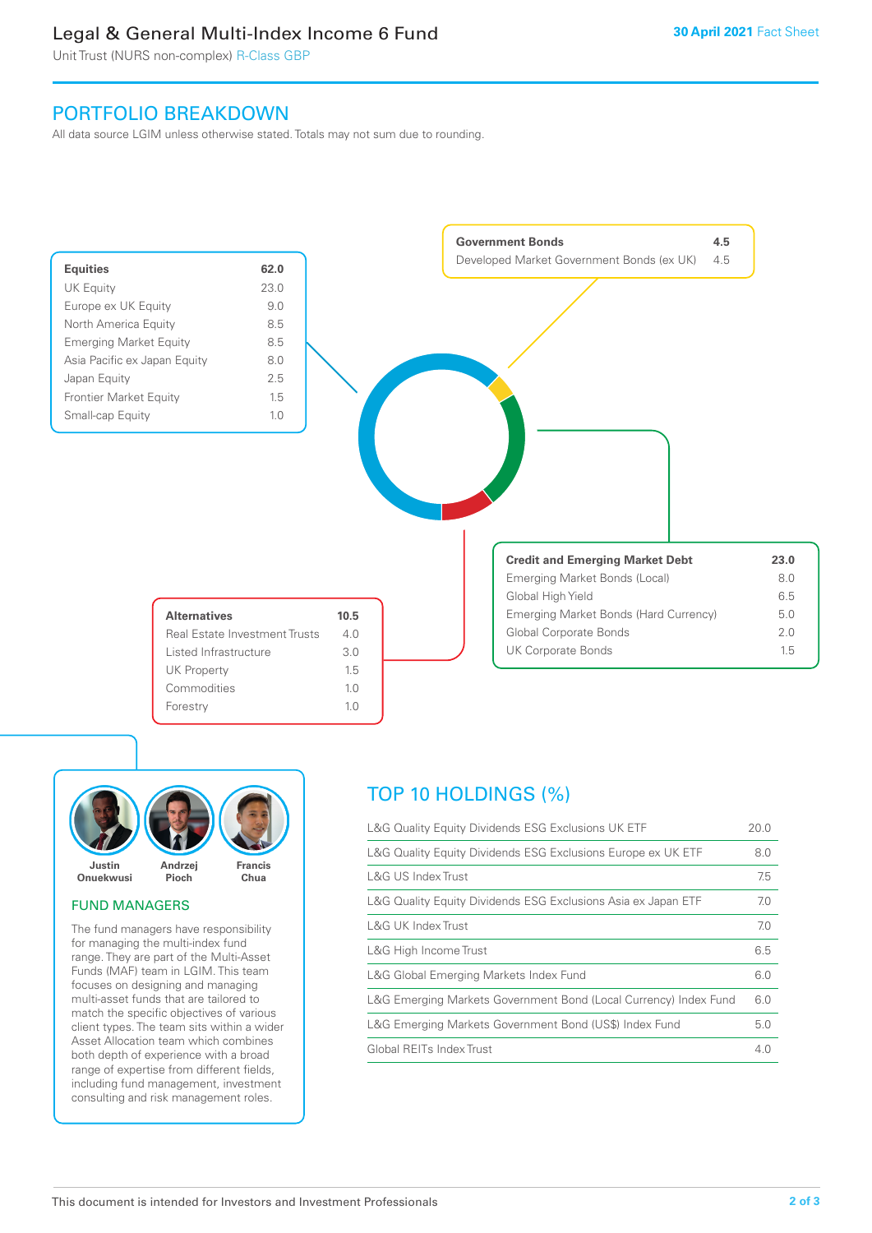# Legal & General Multi-Index Income 6 Fund

Unit Trust (NURS non-complex) R-Class GBP

# PORTFOLIO BREAKDOWN

All data source LGIM unless otherwise stated. Totals may not sum due to rounding.





# FUND MANAGERS

The fund managers have responsibility for managing the multi-index fund range. They are part of the Multi-Asset Funds (MAF) team in LGIM. This team focuses on designing and managing multi-asset funds that are tailored to match the specific objectives of various client types. The team sits within a wider Asset Allocation team which combines both depth of experience with a broad range of expertise from different fields, including fund management, investment consulting and risk management roles.

# TOP 10 HOLDINGS (%)

| L&G Quality Equity Dividends ESG Exclusions UK ETF               | 20.0 |
|------------------------------------------------------------------|------|
| L&G Quality Equity Dividends ESG Exclusions Europe ex UK ETF     | 8.0  |
| L&G US Index Trust                                               | 7.5  |
| L&G Quality Equity Dividends ESG Exclusions Asia ex Japan ETF    | 7.0  |
| <b>L&amp;G UK Index Trust</b>                                    | 7.0  |
| L&G High Income Trust                                            | 6.5  |
| L&G Global Emerging Markets Index Fund                           | 6.0  |
| L&G Emerging Markets Government Bond (Local Currency) Index Fund | 6.0  |
| L&G Emerging Markets Government Bond (US\$) Index Fund           | 5.0  |
| Global REITs Index Trust                                         | 4.0  |